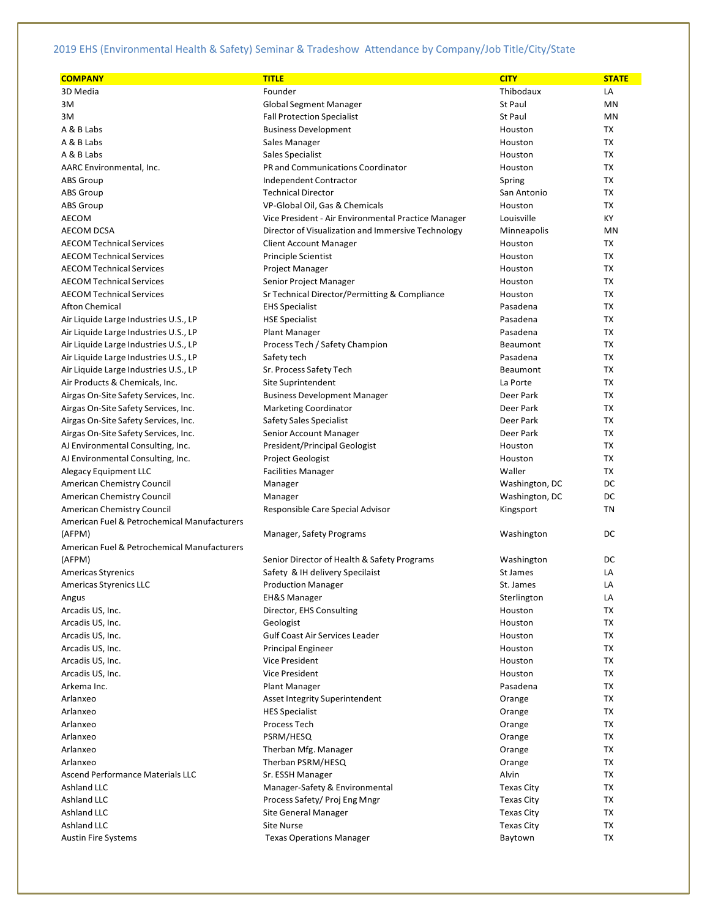| <b>COMPANY</b>                                           | <b>TITLE</b>                                        | <b>CITY</b>       | <b>STATE</b> |
|----------------------------------------------------------|-----------------------------------------------------|-------------------|--------------|
| 3D Media                                                 | Founder                                             | Thibodaux         | LA           |
| 3M                                                       | <b>Global Segment Manager</b>                       | <b>St Paul</b>    | MN           |
| 3M                                                       | <b>Fall Protection Specialist</b>                   | <b>St Paul</b>    | MN           |
| A & B Labs                                               | <b>Business Development</b>                         | Houston           | TX           |
| A & B Labs                                               | Sales Manager                                       | Houston           | ТX           |
| A & B Labs                                               | Sales Specialist                                    | Houston           | <b>TX</b>    |
| AARC Environmental, Inc.                                 | PR and Communications Coordinator                   | Houston           | ТX           |
| <b>ABS Group</b>                                         | Independent Contractor                              | Spring            | TX           |
| <b>ABS</b> Group                                         | <b>Technical Director</b>                           | San Antonio       | ТX           |
| <b>ABS Group</b>                                         | VP-Global Oil, Gas & Chemicals                      | Houston           | ТX           |
| AECOM                                                    | Vice President - Air Environmental Practice Manager | Louisville        | KY           |
| <b>AECOM DCSA</b>                                        | Director of Visualization and Immersive Technology  | Minneapolis       | MN           |
| <b>AECOM Technical Services</b>                          | <b>Client Account Manager</b>                       | Houston           | <b>TX</b>    |
| <b>AECOM Technical Services</b>                          | Principle Scientist                                 | Houston           | ТX           |
| <b>AECOM Technical Services</b>                          | Project Manager                                     | Houston           | ТX           |
| <b>AECOM Technical Services</b>                          | Senior Project Manager                              | Houston           | TX           |
| <b>AECOM Technical Services</b>                          | Sr Technical Director/Permitting & Compliance       | Houston           | ТX           |
| <b>Afton Chemical</b>                                    | <b>EHS Specialist</b>                               | Pasadena          | ТX           |
| Air Liquide Large Industries U.S., LP                    | <b>HSE Specialist</b>                               | Pasadena          | TX           |
| Air Liquide Large Industries U.S., LP                    | <b>Plant Manager</b>                                | Pasadena          | ТX           |
| Air Liquide Large Industries U.S., LP                    | Process Tech / Safety Champion                      | Beaumont          | TX           |
| Air Liquide Large Industries U.S., LP                    | Safety tech                                         | Pasadena          | TX           |
| Air Liquide Large Industries U.S., LP                    | Sr. Process Safety Tech                             | Beaumont          | TX           |
| Air Products & Chemicals, Inc.                           | Site Suprintendent                                  | La Porte          | ТX           |
| Airgas On-Site Safety Services, Inc.                     | <b>Business Development Manager</b>                 | Deer Park         | ТX           |
| Airgas On-Site Safety Services, Inc.                     | <b>Marketing Coordinator</b>                        | Deer Park         | ТX           |
| Airgas On-Site Safety Services, Inc.                     | <b>Safety Sales Specialist</b>                      | Deer Park         | TX           |
| Airgas On-Site Safety Services, Inc.                     | Senior Account Manager                              | Deer Park         | ТX           |
| AJ Environmental Consulting, Inc.                        | President/Principal Geologist                       | Houston           | ТX           |
|                                                          |                                                     | Houston           | ТX           |
| AJ Environmental Consulting, Inc.                        | Project Geologist                                   | Waller            | ТX           |
| Alegacy Equipment LLC                                    | <b>Facilities Manager</b>                           |                   | DC           |
| American Chemistry Council                               | Manager                                             | Washington, DC    | DC           |
| American Chemistry Council<br>American Chemistry Council | Manager                                             | Washington, DC    | TN           |
| American Fuel & Petrochemical Manufacturers              | Responsible Care Special Advisor                    | Kingsport         |              |
| (AFPM)                                                   | Manager, Safety Programs                            | Washington        | DC           |
|                                                          |                                                     |                   |              |
| American Fuel & Petrochemical Manufacturers              |                                                     |                   |              |
| (AFPM)                                                   | Senior Director of Health & Safety Programs         | Washington        | DC<br>LA     |
| Americas Styrenics                                       | Safety & IH delivery Specilaist                     | St James          |              |
| <b>Americas Styrenics LLC</b>                            | <b>Production Manager</b>                           | St. James         | LA           |
| Angus                                                    | <b>EH&amp;S Manager</b>                             | Sterlington       | LA           |
| Arcadis US, Inc.                                         | Director, EHS Consulting                            | Houston           | ТX           |
| Arcadis US, Inc.                                         | Geologist                                           | Houston           | ТX           |
| Arcadis US, Inc.                                         | Gulf Coast Air Services Leader                      | Houston           | ТX           |
| Arcadis US, Inc.                                         | <b>Principal Engineer</b>                           | Houston           | ТX           |
| Arcadis US, Inc.                                         | Vice President                                      | Houston           | TX           |
| Arcadis US, Inc.                                         | Vice President                                      | Houston           | TX           |
| Arkema Inc.                                              | <b>Plant Manager</b>                                | Pasadena          | TX           |
| Arlanxeo                                                 | Asset Integrity Superintendent                      | Orange            | ТX           |
| Arlanxeo                                                 | <b>HES Specialist</b>                               | Orange            | TX           |
| Arlanxeo                                                 | Process Tech                                        | Orange            | ТX           |
| Arlanxeo                                                 | PSRM/HESQ                                           | Orange            | ТX           |
| Arlanxeo                                                 | Therban Mfg. Manager                                | Orange            | TX           |
| Arlanxeo                                                 | Therban PSRM/HESQ                                   | Orange            | ТX           |
| Ascend Performance Materials LLC                         | Sr. ESSH Manager                                    | Alvin             | TX           |
| Ashland LLC                                              | Manager-Safety & Environmental                      | <b>Texas City</b> | ТX           |
| Ashland LLC                                              | Process Safety/Proj Eng Mngr                        | Texas City        | TX           |
| Ashland LLC                                              | <b>Site General Manager</b>                         | <b>Texas City</b> | TX           |
| Ashland LLC                                              | <b>Site Nurse</b>                                   | <b>Texas City</b> | TX           |
| <b>Austin Fire Systems</b>                               | <b>Texas Operations Manager</b>                     | Baytown           | ТX           |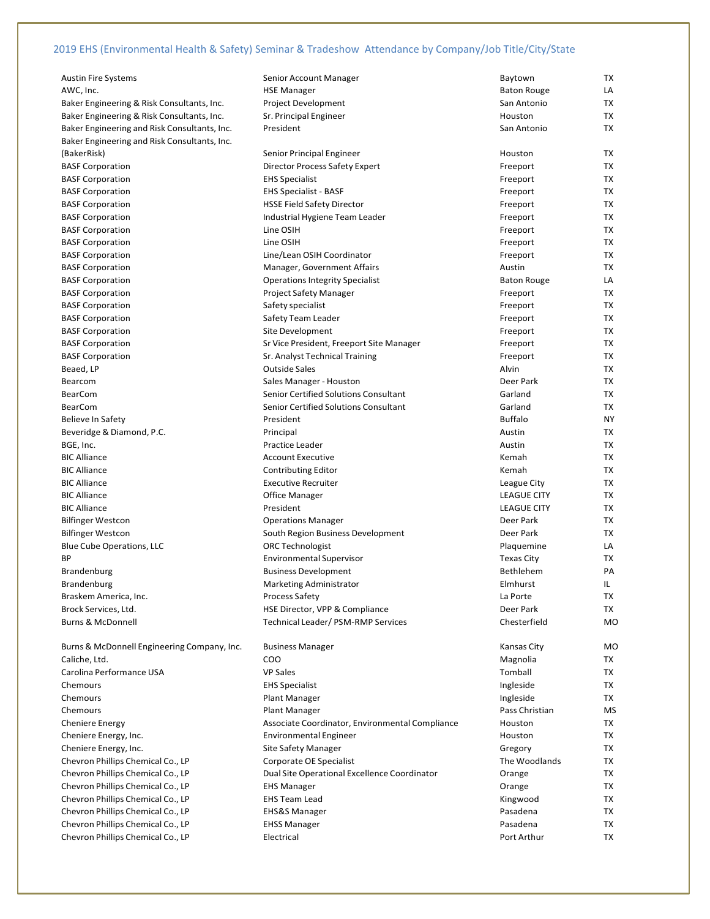| <b>Austin Fire Systems</b>                   | Senior Account Manager                          | Baytown            | TX        |
|----------------------------------------------|-------------------------------------------------|--------------------|-----------|
| AWC, Inc.                                    | <b>HSE Manager</b>                              | <b>Baton Rouge</b> | LA        |
| Baker Engineering & Risk Consultants, Inc.   | Project Development                             | San Antonio        | TX        |
| Baker Engineering & Risk Consultants, Inc.   | Sr. Principal Engineer                          | Houston            | TX        |
| Baker Engineering and Risk Consultants, Inc. | President                                       | San Antonio        | TX        |
| Baker Engineering and Risk Consultants, Inc. |                                                 |                    |           |
| (BakerRisk)                                  | Senior Principal Engineer                       | Houston            | TX        |
| <b>BASF Corporation</b>                      | <b>Director Process Safety Expert</b>           | Freeport           | TX        |
| <b>BASF Corporation</b>                      | <b>EHS Specialist</b>                           | Freeport           | TX        |
| <b>BASF Corporation</b>                      | <b>EHS Specialist - BASF</b>                    | Freeport           | TX        |
| <b>BASF Corporation</b>                      | <b>HSSE Field Safety Director</b>               | Freeport           | TX        |
| <b>BASF Corporation</b>                      | Industrial Hygiene Team Leader                  |                    | <b>TX</b> |
|                                              | Line OSIH                                       | Freeport           | TX        |
| <b>BASF Corporation</b>                      | Line OSIH                                       | Freeport           | TX        |
| <b>BASF Corporation</b>                      | Line/Lean OSIH Coordinator                      | Freeport           | TX        |
| <b>BASF Corporation</b>                      |                                                 | Freeport           |           |
| <b>BASF Corporation</b>                      | Manager, Government Affairs                     | Austin             | TX        |
| <b>BASF Corporation</b>                      | <b>Operations Integrity Specialist</b>          | <b>Baton Rouge</b> | LA        |
| <b>BASF Corporation</b>                      | Project Safety Manager                          | Freeport           | TX        |
| <b>BASF Corporation</b>                      | Safety specialist                               | Freeport           | TX        |
| <b>BASF Corporation</b>                      | Safety Team Leader                              | Freeport           | TX        |
| <b>BASF Corporation</b>                      | Site Development                                | Freeport           | TX        |
| <b>BASF Corporation</b>                      | Sr Vice President, Freeport Site Manager        | Freeport           | TX        |
| <b>BASF Corporation</b>                      | Sr. Analyst Technical Training                  | Freeport           | TX        |
| Beaed, LP                                    | <b>Outside Sales</b>                            | Alvin              | TX        |
| Bearcom                                      | Sales Manager - Houston                         | Deer Park          | TX        |
| <b>BearCom</b>                               | Senior Certified Solutions Consultant           | Garland            | TX        |
| <b>BearCom</b>                               | Senior Certified Solutions Consultant           | Garland            | TX        |
| <b>Believe In Safety</b>                     | President                                       | <b>Buffalo</b>     | NY        |
| Beveridge & Diamond, P.C.                    | Principal                                       | Austin             | TX        |
| BGE, Inc.                                    | Practice Leader                                 | Austin             | TX        |
| <b>BIC Alliance</b>                          | <b>Account Executive</b>                        | Kemah              | TX        |
| <b>BIC Alliance</b>                          | <b>Contributing Editor</b>                      | Kemah              | TX        |
| <b>BIC Alliance</b>                          | <b>Executive Recruiter</b>                      | League City        | TX        |
| <b>BIC Alliance</b>                          | <b>Office Manager</b>                           | <b>LEAGUE CITY</b> | TX        |
| <b>BIC Alliance</b>                          | President                                       | <b>LEAGUE CITY</b> | TX        |
| <b>Bilfinger Westcon</b>                     | <b>Operations Manager</b>                       | Deer Park          | TX        |
| <b>Bilfinger Westcon</b>                     | South Region Business Development               | Deer Park          | TX        |
| Blue Cube Operations, LLC                    | <b>ORC Technologist</b>                         | Plaquemine         | LA        |
| BP                                           | <b>Environmental Supervisor</b>                 | <b>Texas City</b>  | TX        |
| <b>Brandenburg</b>                           | <b>Business Development</b>                     | Bethlehem          | PA        |
| <b>Brandenburg</b>                           | <b>Marketing Administrator</b>                  | Elmhurst           | IL.       |
| Braskem America, Inc.                        | <b>Process Safety</b>                           | La Porte           | <b>TX</b> |
| Brock Services, Ltd.                         | HSE Director, VPP & Compliance                  | Deer Park          | TX        |
| <b>Burns &amp; McDonnell</b>                 | Technical Leader/ PSM-RMP Services              | Chesterfield       | <b>MO</b> |
|                                              |                                                 |                    |           |
| Burns & McDonnell Engineering Company, Inc.  | <b>Business Manager</b>                         | Kansas City        | MO        |
| Caliche, Ltd.                                | <b>COO</b>                                      | Magnolia           | TX        |
| Carolina Performance USA                     | <b>VP Sales</b>                                 | Tomball            | TX        |
|                                              |                                                 |                    |           |
| Chemours                                     | <b>EHS Specialist</b>                           | Ingleside          | TX        |
| Chemours                                     | <b>Plant Manager</b>                            | Ingleside          | TX        |
| Chemours                                     | Plant Manager                                   | Pass Christian     | MS        |
| <b>Cheniere Energy</b>                       | Associate Coordinator, Environmental Compliance | Houston            | TX        |
| Cheniere Energy, Inc.                        | <b>Environmental Engineer</b>                   | Houston            | TX        |
| Cheniere Energy, Inc.                        | <b>Site Safety Manager</b>                      | Gregory            | TX        |
| Chevron Phillips Chemical Co., LP            | Corporate OE Specialist                         | The Woodlands      | TX        |
| Chevron Phillips Chemical Co., LP            | Dual Site Operational Excellence Coordinator    | Orange             | TX        |
| Chevron Phillips Chemical Co., LP            | <b>EHS Manager</b>                              | Orange             | TX        |
| Chevron Phillips Chemical Co., LP            | <b>EHS Team Lead</b>                            | Kingwood           | TX        |
| Chevron Phillips Chemical Co., LP            | <b>EHS&amp;S Manager</b>                        | Pasadena           | TX        |
| Chevron Phillips Chemical Co., LP            | <b>EHSS Manager</b>                             | Pasadena           | TX        |
| Chevron Phillips Chemical Co., LP            | Electrical                                      | Port Arthur        | TX        |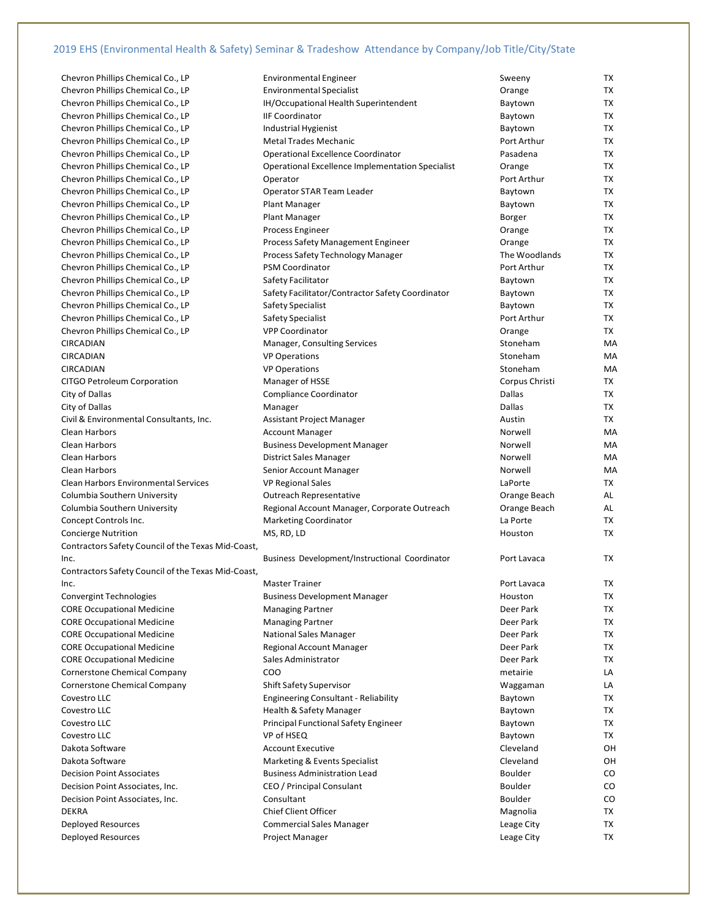| Chevron Phillips Chemical Co., LP                  | <b>Environmental Engineer</b>                               | Sweeny                  | TX        |
|----------------------------------------------------|-------------------------------------------------------------|-------------------------|-----------|
| Chevron Phillips Chemical Co., LP                  | <b>Environmental Specialist</b>                             | Orange                  | <b>TX</b> |
| Chevron Phillips Chemical Co., LP                  | IH/Occupational Health Superintendent                       | Baytown                 | TX        |
| Chevron Phillips Chemical Co., LP                  | <b>IIF Coordinator</b>                                      | Baytown                 | TX        |
| Chevron Phillips Chemical Co., LP                  | Industrial Hygienist                                        | Baytown                 | TX        |
| Chevron Phillips Chemical Co., LP                  | <b>Metal Trades Mechanic</b>                                | Port Arthur             | TX        |
| Chevron Phillips Chemical Co., LP                  | Operational Excellence Coordinator                          | Pasadena                | TX        |
| Chevron Phillips Chemical Co., LP                  | Operational Excellence Implementation Specialist            | Orange                  | TX        |
| Chevron Phillips Chemical Co., LP                  | Operator                                                    | Port Arthur             | TX        |
| Chevron Phillips Chemical Co., LP                  | Operator STAR Team Leader                                   | Baytown                 | TX        |
| Chevron Phillips Chemical Co., LP                  | Plant Manager                                               | Baytown                 | TX        |
| Chevron Phillips Chemical Co., LP                  | <b>Plant Manager</b>                                        | Borger                  | TX        |
| Chevron Phillips Chemical Co., LP                  | Process Engineer                                            | Orange                  | <b>TX</b> |
| Chevron Phillips Chemical Co., LP                  | Process Safety Management Engineer                          |                         | TX        |
| Chevron Phillips Chemical Co., LP                  |                                                             | Orange<br>The Woodlands | TX        |
| Chevron Phillips Chemical Co., LP                  | Process Safety Technology Manager<br><b>PSM Coordinator</b> | Port Arthur             | TX        |
|                                                    |                                                             |                         | <b>TX</b> |
| Chevron Phillips Chemical Co., LP                  | Safety Facilitator                                          | Baytown                 |           |
| Chevron Phillips Chemical Co., LP                  | Safety Facilitator/Contractor Safety Coordinator            | Baytown                 | TX        |
| Chevron Phillips Chemical Co., LP                  | Safety Specialist                                           | Baytown                 | TX        |
| Chevron Phillips Chemical Co., LP                  | Safety Specialist                                           | Port Arthur             | TX        |
| Chevron Phillips Chemical Co., LP                  | <b>VPP Coordinator</b>                                      | Orange                  | TX        |
| CIRCADIAN                                          | Manager, Consulting Services                                | Stoneham                | MA        |
| CIRCADIAN                                          | <b>VP Operations</b>                                        | Stoneham                | MA        |
| <b>CIRCADIAN</b>                                   | <b>VP Operations</b>                                        | Stoneham                | MA        |
| CITGO Petroleum Corporation                        | Manager of HSSE                                             | Corpus Christi          | TX        |
| City of Dallas                                     | Compliance Coordinator                                      | Dallas                  | TX        |
| City of Dallas                                     | Manager                                                     | Dallas                  | TX        |
| Civil & Environmental Consultants, Inc.            | Assistant Project Manager                                   | Austin                  | <b>TX</b> |
| Clean Harbors                                      | <b>Account Manager</b>                                      | Norwell                 | МA        |
| Clean Harbors                                      | <b>Business Development Manager</b>                         | Norwell                 | MA        |
| Clean Harbors                                      | <b>District Sales Manager</b>                               | Norwell                 | MA        |
| Clean Harbors                                      | Senior Account Manager                                      | Norwell                 | MA        |
| Clean Harbors Environmental Services               | <b>VP Regional Sales</b>                                    | LaPorte                 | TX        |
| Columbia Southern University                       | <b>Outreach Representative</b>                              | Orange Beach            | AL        |
| Columbia Southern University                       | Regional Account Manager, Corporate Outreach                | Orange Beach            | AL        |
| Concept Controls Inc.                              | <b>Marketing Coordinator</b>                                | La Porte                | TX        |
| <b>Concierge Nutrition</b>                         | MS, RD, LD                                                  | Houston                 | TX        |
| Contractors Safety Council of the Texas Mid-Coast, |                                                             |                         |           |
| Inc.                                               | Business Development/Instructional Coordinator              | Port Lavaca             | TX        |
| Contractors Safety Council of the Texas Mid-Coast, |                                                             |                         |           |
| Inc.                                               | <b>Master Trainer</b>                                       | Port Lavaca             | TX        |
| <b>Convergint Technologies</b>                     | <b>Business Development Manager</b>                         | Houston                 | TX        |
| <b>CORE Occupational Medicine</b>                  | <b>Managing Partner</b>                                     | Deer Park               | TX        |
| <b>CORE Occupational Medicine</b>                  | <b>Managing Partner</b>                                     | Deer Park               | TX        |
| <b>CORE Occupational Medicine</b>                  | <b>National Sales Manager</b>                               | Deer Park               | TX        |
| <b>CORE Occupational Medicine</b>                  | <b>Regional Account Manager</b>                             | Deer Park               | TX        |
| <b>CORE Occupational Medicine</b>                  | Sales Administrator                                         | Deer Park               | TX        |
| Cornerstone Chemical Company                       | COO                                                         | metairie                | LA        |
| Cornerstone Chemical Company                       | <b>Shift Safety Supervisor</b>                              | Waggaman                | LA        |
| Covestro LLC                                       | <b>Engineering Consultant - Reliability</b>                 | Baytown                 | TX        |
| Covestro LLC                                       | Health & Safety Manager                                     | Baytown                 | TX        |
| Covestro LLC                                       | <b>Principal Functional Safety Engineer</b>                 | Baytown                 | TX        |
| Covestro LLC                                       | VP of HSEQ                                                  | Baytown                 | TX        |
| Dakota Software                                    | <b>Account Executive</b>                                    | Cleveland               | OН        |
| Dakota Software                                    | Marketing & Events Specialist                               | Cleveland               | OН        |
| <b>Decision Point Associates</b>                   | <b>Business Administration Lead</b>                         | <b>Boulder</b>          | CO        |
| Decision Point Associates, Inc.                    | CEO / Principal Consulant                                   | <b>Boulder</b>          | CO        |
| Decision Point Associates, Inc.                    | Consultant                                                  | <b>Boulder</b>          | CO        |
| DEKRA                                              | <b>Chief Client Officer</b>                                 | Magnolia                | TX        |
| Deployed Resources                                 | <b>Commercial Sales Manager</b>                             | Leage City              | TX        |
| Deployed Resources                                 | Project Manager                                             | Leage City              | TX        |
|                                                    |                                                             |                         |           |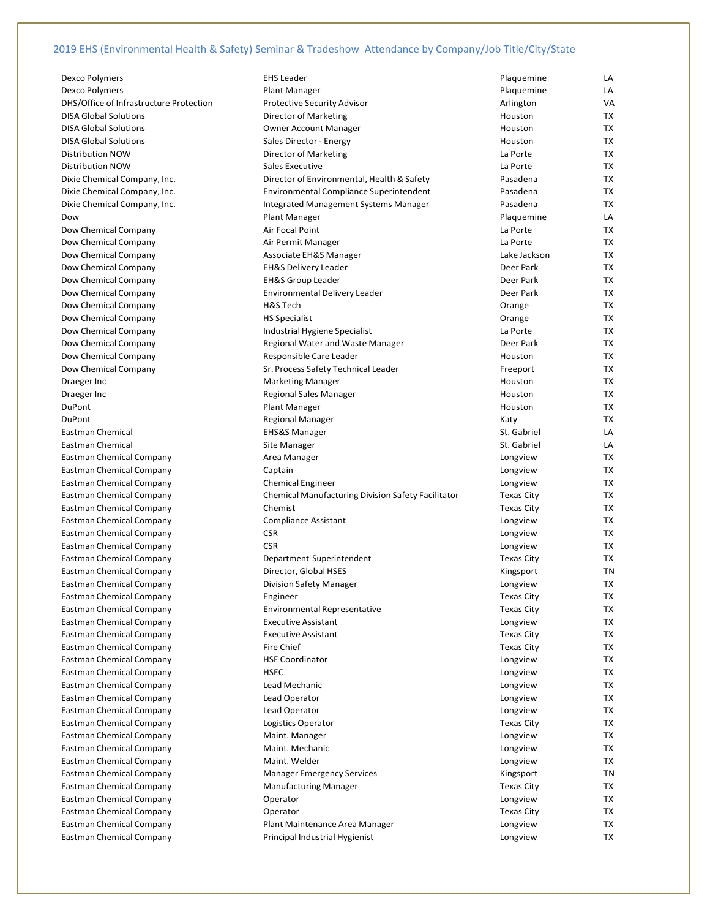| Dexco Polymers                          | <b>EHS Leader</b>                                         | Plaquemine        | LA        |
|-----------------------------------------|-----------------------------------------------------------|-------------------|-----------|
| Dexco Polymers                          | <b>Plant Manager</b>                                      | Plaquemine        | LA        |
| DHS/Office of Infrastructure Protection | <b>Protective Security Advisor</b>                        | Arlington         | VA        |
| <b>DISA Global Solutions</b>            | Director of Marketing                                     | Houston           | TX        |
| DISA Global Solutions                   | <b>Owner Account Manager</b>                              | Houston           | TX        |
| DISA Global Solutions                   | Sales Director - Energy                                   | Houston           | TX        |
|                                         |                                                           |                   |           |
| Distribution NOW                        | Director of Marketing                                     | La Porte          | TX        |
| Distribution NOW                        | Sales Executive                                           | La Porte          | TX        |
| Dixie Chemical Company, Inc.            | Director of Environmental, Health & Safety                | Pasadena          | TX        |
| Dixie Chemical Company, Inc.            | Environmental Compliance Superintendent                   | Pasadena          | TX        |
| Dixie Chemical Company, Inc.            | Integrated Management Systems Manager                     | Pasadena          | TX        |
| Dow                                     | Plant Manager                                             | Plaquemine        | LA        |
| Dow Chemical Company                    | Air Focal Point                                           | La Porte          | TX        |
| Dow Chemical Company                    | Air Permit Manager                                        | La Porte          | TX        |
| Dow Chemical Company                    | Associate EH&S Manager                                    | Lake Jackson      | TX        |
| Dow Chemical Company                    | <b>EH&amp;S Delivery Leader</b>                           | Deer Park         | TX        |
| Dow Chemical Company                    | <b>EH&amp;S Group Leader</b>                              | Deer Park         | TX        |
| Dow Chemical Company                    | Environmental Delivery Leader                             | Deer Park         | TX        |
| Dow Chemical Company                    | H&S Tech                                                  | Orange            | TX        |
| Dow Chemical Company                    | <b>HS Specialist</b>                                      | Orange            | TX        |
| Dow Chemical Company                    | Industrial Hygiene Specialist                             | La Porte          | TX        |
| Dow Chemical Company                    | Regional Water and Waste Manager                          | Deer Park         | TX        |
| Dow Chemical Company                    | Responsible Care Leader                                   | Houston           | <b>TX</b> |
| Dow Chemical Company                    | Sr. Process Safety Technical Leader                       | Freeport          | TX        |
|                                         |                                                           | Houston           | TX        |
| Draeger Inc                             | <b>Marketing Manager</b>                                  |                   |           |
| Draeger Inc                             | Regional Sales Manager                                    | Houston           | TX        |
| DuPont                                  | <b>Plant Manager</b>                                      | Houston           | TX        |
| DuPont                                  | Regional Manager                                          | Katy              | TX        |
| Eastman Chemical                        | <b>EHS&amp;S Manager</b>                                  | St. Gabriel       | LA        |
| Eastman Chemical                        | Site Manager                                              | St. Gabriel       | LA        |
| Eastman Chemical Company                | Area Manager                                              | Longview          | TX        |
| Eastman Chemical Company                | Captain                                                   | Longview          | TX        |
| Eastman Chemical Company                | <b>Chemical Engineer</b>                                  | Longview          | TX        |
| Eastman Chemical Company                | <b>Chemical Manufacturing Division Safety Facilitator</b> | Texas City        | TX        |
| Eastman Chemical Company                | Chemist                                                   | Texas City        | TX        |
| Eastman Chemical Company                | Compliance Assistant                                      | Longview          | TX        |
| Eastman Chemical Company                | <b>CSR</b>                                                | Longview          | TX        |
| Eastman Chemical Company                | <b>CSR</b>                                                | Longview          | TX        |
| Eastman Chemical Company                | Department Superintendent                                 | <b>Texas City</b> | TX        |
| Eastman Chemical Company                | Director, Global HSES                                     | Kingsport         | TN        |
| Eastman Chemical Company                | Division Safety Manager                                   | Longview          | TX        |
| Eastman Chemical Company                | Engineer                                                  | <b>Texas City</b> | TX        |
| Eastman Chemical Company                | <b>Environmental Representative</b>                       | Texas City        | TX        |
| Eastman Chemical Company                | <b>Executive Assistant</b>                                | Longview          | TX        |
|                                         | <b>Executive Assistant</b>                                |                   | TX        |
| Eastman Chemical Company                |                                                           | <b>Texas City</b> |           |
| Eastman Chemical Company                | <b>Fire Chief</b>                                         | <b>Texas City</b> | TX        |
| Eastman Chemical Company                | <b>HSE Coordinator</b>                                    | Longview          | TX        |
| Eastman Chemical Company                | <b>HSEC</b>                                               | Longview          | TX        |
| Eastman Chemical Company                | Lead Mechanic                                             | Longview          | TX        |
| Eastman Chemical Company                | Lead Operator                                             | Longview          | TX        |
| Eastman Chemical Company                | Lead Operator                                             | Longview          | TX        |
| Eastman Chemical Company                | Logistics Operator                                        | <b>Texas City</b> | TX        |
| Eastman Chemical Company                | Maint. Manager                                            | Longview          | TX        |
| Eastman Chemical Company                | Maint. Mechanic                                           | Longview          | TX        |
| Eastman Chemical Company                | Maint. Welder                                             | Longview          | TX        |
| Eastman Chemical Company                | <b>Manager Emergency Services</b>                         | Kingsport         | TN        |
| Eastman Chemical Company                | <b>Manufacturing Manager</b>                              | <b>Texas City</b> | TX        |
| Eastman Chemical Company                | Operator                                                  | Longview          | TX        |
| Eastman Chemical Company                | Operator                                                  | <b>Texas City</b> | TX        |
| Eastman Chemical Company                | Plant Maintenance Area Manager                            | Longview          | TX        |
| Eastman Chemical Company                | Principal Industrial Hygienist                            | Longview          | TX        |
|                                         |                                                           |                   |           |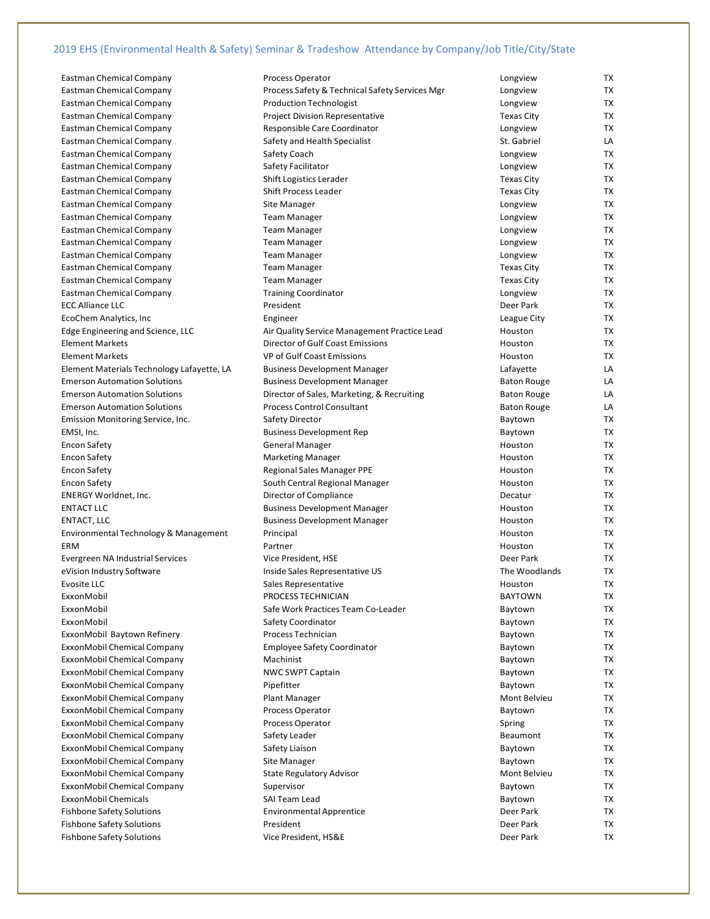| <b>Eastman Chemical Company</b>            | Process Operator                               | Longview            | TХ |
|--------------------------------------------|------------------------------------------------|---------------------|----|
| <b>Eastman Chemical Company</b>            | Process Safety & Technical Safety Services Mgr | Longview            | ТX |
| Eastman Chemical Company                   | <b>Production Technologist</b>                 | Longview            | ТX |
| <b>Eastman Chemical Company</b>            | <b>Project Division Representative</b>         | <b>Texas City</b>   | ТX |
| <b>Eastman Chemical Company</b>            | Responsible Care Coordinator                   | Longview            | TX |
| Eastman Chemical Company                   | Safety and Health Specialist                   | St. Gabriel         | LA |
| <b>Eastman Chemical Company</b>            | Safety Coach                                   | Longview            | ТX |
| <b>Eastman Chemical Company</b>            | Safety Facilitator                             | Longview            | TХ |
| <b>Eastman Chemical Company</b>            | Shift Logistics Lerader                        | <b>Texas City</b>   | TХ |
| <b>Eastman Chemical Company</b>            | <b>Shift Process Leader</b>                    | <b>Texas City</b>   | ТX |
| Eastman Chemical Company                   | Site Manager                                   | Longview            | TX |
| <b>Eastman Chemical Company</b>            | <b>Team Manager</b>                            | Longview            | TХ |
| <b>Eastman Chemical Company</b>            | <b>Team Manager</b>                            | Longview            | ТX |
| <b>Eastman Chemical Company</b>            | <b>Team Manager</b>                            | Longview            | ТX |
| <b>Eastman Chemical Company</b>            | <b>Team Manager</b>                            | Longview            | ТX |
| <b>Eastman Chemical Company</b>            | <b>Team Manager</b>                            | <b>Texas City</b>   | TХ |
| <b>Eastman Chemical Company</b>            | <b>Team Manager</b>                            | Texas City          | TХ |
| <b>Eastman Chemical Company</b>            | <b>Training Coordinator</b>                    | Longview            | ТX |
| <b>ECC Alliance LLC</b>                    | President                                      | Deer Park           | TХ |
| EcoChem Analytics, Inc.                    | Engineer                                       | League City         | TХ |
| Edge Engineering and Science, LLC          | Air Quality Service Management Practice Lead   | Houston             | ТX |
| <b>Element Markets</b>                     | Director of Gulf Coast Emissions               | Houston             | TX |
| <b>Element Markets</b>                     | VP of Gulf Coast Emissions                     | Houston             | TХ |
| Element Materials Technology Lafayette, LA | <b>Business Development Manager</b>            | Lafayette           | LA |
| <b>Emerson Automation Solutions</b>        | <b>Business Development Manager</b>            | <b>Baton Rouge</b>  | LA |
| <b>Emerson Automation Solutions</b>        | Director of Sales, Marketing, & Recruiting     | <b>Baton Rouge</b>  | LA |
| <b>Emerson Automation Solutions</b>        | <b>Process Control Consultant</b>              | <b>Baton Rouge</b>  | LA |
| Emission Monitoring Service, Inc.          | Safety Director                                | Baytown             | TХ |
| EMSI, Inc.                                 | <b>Business Development Rep</b>                | Baytown             | ТX |
| Encon Safety                               | General Manager                                | Houston             | ТX |
| Encon Safety                               | <b>Marketing Manager</b>                       | Houston             | ТX |
| Encon Safety                               | Regional Sales Manager PPE                     | Houston             | ТX |
| Encon Safety                               | South Central Regional Manager                 | Houston             | TХ |
| <b>ENERGY Worldnet, Inc.</b>               | Director of Compliance                         | Decatur             | TХ |
| <b>ENTACT LLC</b>                          | <b>Business Development Manager</b>            | Houston             | ТX |
| ENTACT, LLC                                | <b>Business Development Manager</b>            | Houston             | ТX |
| Environmental Technology & Management      | Principal                                      | Houston             | ТX |
| ERM                                        | Partner                                        | Houston             | TХ |
| Evergreen NA Industrial Services           | Vice President, HSE                            | Deer Park           | TХ |
| eVision Industry Software                  | Inside Sales Representative US                 | The Woodlands       | ТX |
| Evosite LLC                                | Sales Representative                           | Houston             | TX |
| ExxonMobil                                 | PROCESS TECHNICIAN                             | <b>BAYTOWN</b>      | TХ |
| ExxonMobil                                 | Safe Work Practices Team Co-Leader             | Baytown             | TХ |
| ExxonMobil                                 | Safety Coordinator                             | Baytown             | TХ |
| ExxonMobil Baytown Refinery                | Process Technician                             | Baytown             | TХ |
| ExxonMobil Chemical Company                | <b>Employee Safety Coordinator</b>             | Baytown             | ТX |
| ExxonMobil Chemical Company                | Machinist                                      | Baytown             | ТX |
| ExxonMobil Chemical Company                | NWC SWPT Captain                               | Baytown             | ТX |
| ExxonMobil Chemical Company                | Pipefitter                                     | Baytown             | TX |
| ExxonMobil Chemical Company                | Plant Manager                                  | <b>Mont Belvieu</b> | TХ |
| ExxonMobil Chemical Company                | Process Operator                               | Baytown             | TХ |
| ExxonMobil Chemical Company                | Process Operator                               | Spring              | ТX |
| ExxonMobil Chemical Company                | Safety Leader                                  | Beaumont            | TХ |
| ExxonMobil Chemical Company                | Safety Liaison                                 | Baytown             | TХ |
| ExxonMobil Chemical Company                | Site Manager                                   | Baytown             | TХ |
| ExxonMobil Chemical Company                | <b>State Regulatory Advisor</b>                | Mont Belvieu        | TХ |
| ExxonMobil Chemical Company                | Supervisor                                     | Baytown             | TХ |
| ExxonMobil Chemicals                       | SAI Team Lead                                  | Baytown             | ТX |
| <b>Fishbone Safety Solutions</b>           | <b>Environmental Apprentice</b>                | Deer Park           | ТX |
| <b>Fishbone Safety Solutions</b>           | President                                      | Deer Park           | TХ |
| <b>Fishbone Safety Solutions</b>           | Vice President, HS&E                           | Deer Park           | ТX |

| ,,,,,,             |           |
|--------------------|-----------|
| Longview           | ТX        |
| <b>Texas City</b>  | ТX        |
| Longview           | ТX        |
| St. Gabriel        | LA        |
| Longview           | ТX        |
| Longview           | ТX        |
| Texas City         | ТX        |
| <b>Texas City</b>  | ТX        |
| Longview           | ТX        |
| Longview           | <b>TX</b> |
| Longview           | ТX        |
| Longview           | ТX        |
| Longview           | TХ        |
| Texas City         | ТX        |
| Texas City         | ТX        |
| Longview           | ТX        |
| Deer Park          | ТX        |
| League City        | ТX        |
| Houston            | <b>TX</b> |
| Houston            | ТX        |
| Houston            | ТX        |
| Lafayette          | LA        |
| <b>Baton Rouge</b> | LA        |
| <b>Baton Rouge</b> | LA        |
| <b>Baton Rouge</b> | LA        |
| Baytown            | ТX        |
| Baytown            | ТX        |
| Houston            | TХ        |
| Houston            | TХ        |
| Houston            | TХ        |
| Houston            | ТX        |
| Decatur            | ТX        |
| Houston            | ТX        |
| Houston            | ТX        |
| Houston            | TХ        |
| Houston            | ТX        |
| Deer Park          | ТX        |
| The Woodlands      | <b>TX</b> |
| Houston            | <b>TX</b> |
| <b>BAYTOWN</b>     | ТX        |
| Baytown            | TХ        |
| Baytown            | ТX        |
| Baytown            | TХ        |
| Baytown            | ТX        |
| Baytown            | TХ        |
| Baytown            | ТX        |
| Baytown            | ТX        |
| Mont Belvieu       | ТX        |
| Baytown            | TX        |
| Spring             | ТX        |
| Beaumont           | ТX        |
| Baytown            | TХ        |
| Baytown            | ТX        |
| Mont Belvieu       | ТX        |
| Baytown            | TХ        |
| Baytown            | ТX        |
| Deer Park          | ТX        |
| Deer Park          | ТX        |
| Deer Park          | ТX        |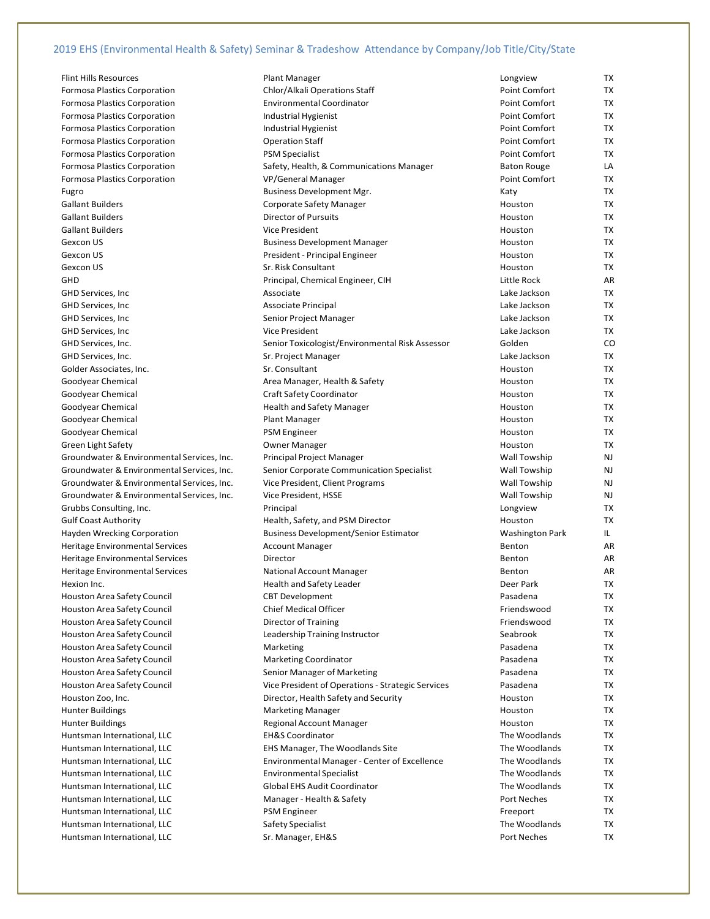Flint Hills Resources **Access 20 Flant Manager** Plant Manager Formosa Plastics Corporation Chlor/Alkali Operations Staff Common Common Formosa Plastics Corporation **Environmental Coordinator Environmental** Formosa Plastics Corporation **Industrial Hygienist** Point Communist Formosa Plastics Corporation **Industrial Hygienist** Point Communist Point Communist Formosa Plastics Corporation **Communists** Communist Communist Communist Communist Communist Communist Communist Communist Communist Communist Communist Communist Communist Communist Communist Communist Communist Communist Formosa Plastics Corporation **PSM** Specialist Formosa Plastics Corporation Safety, Health, & Communications Manager Baton Rouge LA Formosa Plastics Corporation VP/General Manager Fugro **Business Development Mgr.** Research Mgr. Gallant Builders **Communist Communist Communist Corporate Safety Manager** Gallant Builders **Director of Pursuits** Gallant Builders Gexcon US Gexcon US and the Business Development Manager Gexcon US **Gexcon US** President - Principal Engineer Gexcon US Sr. Risk Consultant GHD **GHD Principal, Chemical Engineer, CIH** GHD Services, Inc **Associate** Associate GHD Services, Inc **Associate Principal** Associate Principal GHD Services, Inc Senior Project Manager GHD Services, Inc **Vice President** Vice President GHD Services, Inc. Same Jackson Communication Sr. Project Manager Golder Associates, Inc. Supervisors Associates, Inc. Sr. Consultant Sr. Consultant Goodyear Chemical **Area Manager, Health & Safety** Houston TC Area Manager, Health & Safety Goodyear Chemical **Craft Safety Coordinator** Craft Safety Coordinator Goodyear Chemical **Health and Safety Manager** Health and Safety Manager Goodyear Chemical **Plant Manager Plant Manager** Goodyear Chemical **Example 20** PSM Engineer Green Light Safety **Contact Contact Contact Contact Contact Contact Contact Contact Contact Contact Contact Contact Contact Contact Contact Contact Contact Contact Contact Contact Contact Contact Contact Contact Contact Co** Groundwater & Environmental Services, Inc. Principal Project Manager Groundwater & Environmental Services, Inc. Senior Corporate Communication Specialist Groundwater & Environmental Services, Inc. Vice President, Client Programs Groundwater & Environmental Services, Inc. Vice President, HSSE Grubbs Consulting, Inc. **Example 20** Principal Gulf Coast Authority **Health, Safety, and PSM Director** Health, Safety, and PSM Director Hayden Wrecking Corporation **Business Development/Senior Estimator** Business Development/Senior Estimator Heritage Environmental Services **Account Manager** Account Manager Heritage Environmental Services **Beneticial Accord Beneticial ARR** Director Heritage Environmental Services National Account Manager Hexion Inc. **Health and Safety Leader** Park TX Health and Safety Leader Houston Area Safety Council CBT Development Houston Area Safety Council Chief Medical Officer Houston Area Safety Council **Example 2** Director of Training Houston Area Safety Council **Leadership Training Instructor** Houston Area Safety Council Marketing Houston Area Safety Council Marketing Coordinator Houston Area Safety Council Senior Manager of Marketing Houston Zoo, Inc. **Example 20 and Security Houston Zoo, Inc.** 2010 12: Director, Health Safety and Security Hunter Buildings Manager Marketing Manager Hunter Buildings **Regional Account Manager** Regional Account Manager Huntsman International, LLC EH&S Coordinator Huntsman International, LLC **EHS Manager**, The Woodlands Site Huntsman International, LLC Environmental Specialist Huntsman International, LLC Global EHS Audit Coordinator Huntsman International, LLC Manager - Health & Safety Huntsman International, LLC extending the PSM Engineer Huntsman International, LLC Safety Specialist

Gallant Builders **Vice President Accompany Constructs** Houston TX GHD Services, Inc. Senior Toxicologist/Environmental Risk Assessor Houston Area Safety Council **Vice President of Operations - Strategic Services** Pasadena TX Vice President of Operations - Strategic Services Huntsman International, LLC **Environmental Manager - Center of Excellence** Huntsman International, LLC **Sr. Manager, EH&S** Port Neches **Port Neches** Port Neches

| Longview             | ТX        |
|----------------------|-----------|
| Point Comfort        | ТX        |
| <b>Point Comfort</b> | TX        |
| <b>Point Comfort</b> | ТX        |
| <b>Point Comfort</b> | ТX        |
| <b>Point Comfort</b> | TX        |
| <b>Point Comfort</b> | TX        |
| <b>Baton Rouge</b>   | LA        |
| <b>Point Comfort</b> | ТX        |
| Katy                 | ТX        |
| Houston              | ТX        |
| Houston              | ТX        |
| Houston              | ТX        |
| Houston              | ТX        |
| Houston              | ТX        |
| Houston              | ТX        |
| Little Rock          | AR        |
| Lake Jackson         | ТX        |
| Lake Jackson         | TX        |
| Lake Jackson         | ТX        |
| Lake Jackson         | TX        |
| Golden               | CO        |
| Lake Jackson         | ТX        |
| Houston              | ТX        |
| Houston              | <b>TX</b> |
| Houston              | ТX        |
| Houston              | TX        |
| Houston              | ТX        |
| Houston              | ТX        |
| Houston              | ТX        |
| Wall Towship         | NJ        |
| Wall Towship         | NJ        |
| Wall Towship         | NJ        |
| Wall Towship         | NJ        |
| Longview             | ТX        |
| Houston              | TX        |
| Washington Park      | IL.       |
| Benton               | AR        |
| Benton               | AR        |
| Benton               | AR        |
| Deer Park            | TX        |
| Pasadena             | TX        |
| Friendswood          | ТX        |
| Friendswood          | ТX        |
| Seabrook             | <b>TX</b> |
| Pasadena             | ТX        |
| Pasadena             | ТX        |
| Pasadena             | ТX        |
| Pasadena             | ТX        |
| Houston              | ТX        |
| Houston              | ТX        |
| Houston              | ТX        |
| The Woodlands        | ТX        |
| The Woodlands        | ТX        |
| The Woodlands        | ТX        |
| The Woodlands        | ТX        |
| The Woodlands        | ТX        |
| Port Neches          | TХ        |
| Freeport             | ТX        |
| The Woodlands        | ТX        |
| Dort Nocho           | тv        |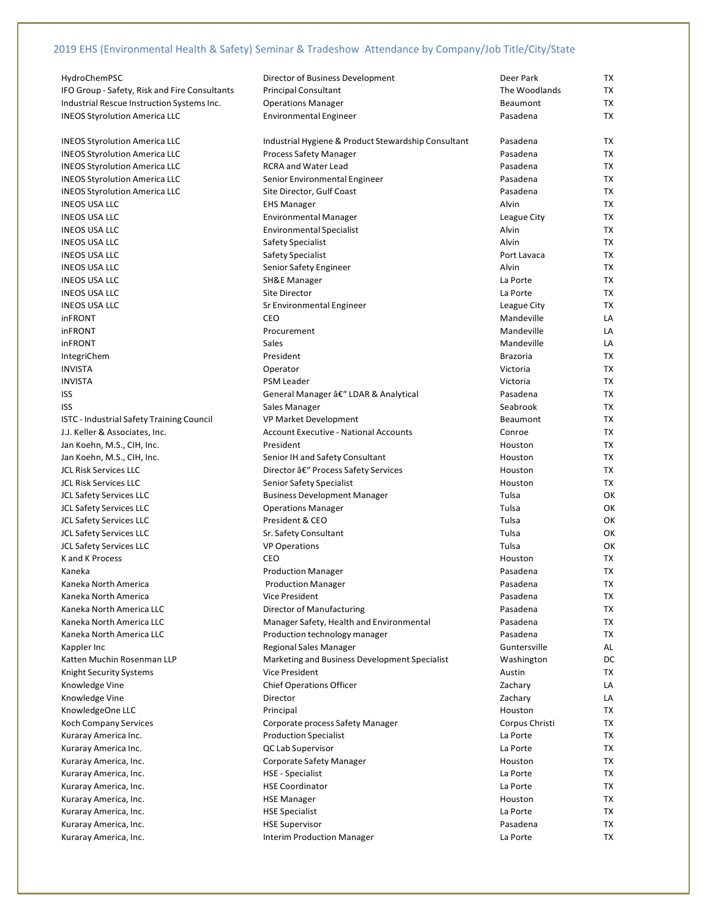| HydroChemPSC                                  | Director of Business Development                    | Deer Park       | TX        |
|-----------------------------------------------|-----------------------------------------------------|-----------------|-----------|
| IFO Group - Safety, Risk and Fire Consultants | <b>Principal Consultant</b>                         | The Woodlands   | TX        |
| Industrial Rescue Instruction Systems Inc.    | <b>Operations Manager</b>                           | <b>Beaumont</b> | TX        |
| <b>INEOS Styrolution America LLC</b>          | <b>Environmental Engineer</b>                       | Pasadena        | <b>TX</b> |
|                                               |                                                     |                 |           |
| <b>INEOS Styrolution America LLC</b>          | Industrial Hygiene & Product Stewardship Consultant | Pasadena        | TX        |
| <b>INEOS Styrolution America LLC</b>          | <b>Process Safety Manager</b>                       | Pasadena        | <b>TX</b> |
| <b>INEOS Styrolution America LLC</b>          | <b>RCRA and Water Lead</b>                          | Pasadena        | TX        |
| <b>INEOS Styrolution America LLC</b>          | Senior Environmental Engineer                       | Pasadena        | TX        |
| <b>INEOS Styrolution America LLC</b>          | Site Director, Gulf Coast                           | Pasadena        | TX        |
| <b>INEOS USA LLC</b>                          | <b>EHS Manager</b>                                  | Alvin           | TX        |
|                                               |                                                     |                 | <b>TX</b> |
| <b>INEOS USA LLC</b>                          | <b>Environmental Manager</b>                        | League City     |           |
| <b>INEOS USA LLC</b>                          | <b>Environmental Specialist</b>                     | Alvin           | TX        |
| <b>INEOS USA LLC</b>                          | Safety Specialist                                   | Alvin           | TX        |
| <b>INEOS USA LLC</b>                          | Safety Specialist                                   | Port Lavaca     | TX        |
| <b>INEOS USA LLC</b>                          | Senior Safety Engineer                              | Alvin           | <b>TX</b> |
| <b>INEOS USA LLC</b>                          | <b>SH&amp;E Manager</b>                             | La Porte        | <b>TX</b> |
| <b>INEOS USA LLC</b>                          | Site Director                                       | La Porte        | <b>TX</b> |
| <b>INEOS USA LLC</b>                          | Sr Environmental Engineer                           | League City     | TX        |
| <b>inFRONT</b>                                | CEO                                                 | Mandeville      | LA        |
| inFRONT                                       | Procurement                                         | Mandeville      | LA        |
| <b>inFRONT</b>                                | Sales                                               | Mandeville      | LA        |
| IntegriChem                                   | President                                           | <b>Brazoria</b> | TX        |
| <b>INVISTA</b>                                | Operator                                            | Victoria        | <b>TX</b> |
| <b>INVISTA</b>                                | <b>PSM Leader</b>                                   | Victoria        | TX        |
| <b>ISS</b>                                    | General Manager â€" LDAR & Analytical               | Pasadena        | TX        |
| <b>ISS</b>                                    | Sales Manager                                       | Seabrook        | <b>TX</b> |
| ISTC - Industrial Safety Training Council     | VP Market Development                               | Beaumont        | <b>TX</b> |
| J.J. Keller & Associates, Inc.                | <b>Account Executive - National Accounts</b>        | Conroe          | <b>TX</b> |
| Jan Koehn, M.S., CIH, Inc.                    | President                                           | Houston         | TX        |
| Jan Koehn, M.S., CIH, Inc.                    | Senior IH and Safety Consultant                     | Houston         | TX        |
| <b>JCL Risk Services LLC</b>                  | Director â€" Process Safety Services                | Houston         | TX        |
| <b>JCL Risk Services LLC</b>                  | Senior Safety Specialist                            | Houston         | TX        |
| <b>JCL Safety Services LLC</b>                | <b>Business Development Manager</b>                 | Tulsa           | OK        |
| <b>JCL Safety Services LLC</b>                |                                                     | Tulsa           | OK        |
|                                               | <b>Operations Manager</b><br>President & CEO        | Tulsa           | OK        |
| <b>JCL Safety Services LLC</b>                |                                                     |                 |           |
| <b>JCL Safety Services LLC</b>                | Sr. Safety Consultant                               | Tulsa           | OK        |
| <b>JCL Safety Services LLC</b>                | <b>VP Operations</b>                                | Tulsa           | OK        |
| K and K Process                               | CEO                                                 | Houston         | TX        |
| Kaneka                                        | <b>Production Manager</b>                           | Pasadena        | <b>TX</b> |
| Kaneka North America                          | <b>Production Manager</b>                           | Pasadena        | <b>TX</b> |
| Kaneka North America                          | <b>Vice President</b>                               | Pasadena        | TX        |
| Kaneka North America LLC                      | Director of Manufacturing                           | Pasadena        | TX        |
| Kaneka North America LLC                      | Manager Safety, Health and Environmental            | Pasadena        | TX        |
| Kaneka North America LLC                      | Production technology manager                       | Pasadena        | TX        |
| Kappler Inc                                   | <b>Regional Sales Manager</b>                       | Guntersville    | AL        |
| Katten Muchin Rosenman LLP                    | Marketing and Business Development Specialist       | Washington      | DC        |
| Knight Security Systems                       | <b>Vice President</b>                               | Austin          | TX        |
| Knowledge Vine                                | <b>Chief Operations Officer</b>                     | Zachary         | LA        |
| Knowledge Vine                                | Director                                            | Zachary         | LA        |
| KnowledgeOne LLC                              | Principal                                           | Houston         | <b>TX</b> |
| Koch Company Services                         | Corporate process Safety Manager                    | Corpus Christi  | TX        |
| Kuraray America Inc.                          | <b>Production Specialist</b>                        | La Porte        | TX        |
| Kuraray America Inc.                          | QC Lab Supervisor                                   | La Porte        | TX        |
| Kuraray America, Inc.                         | Corporate Safety Manager                            | Houston         | TX        |
| Kuraray America, Inc.                         | <b>HSE - Specialist</b>                             | La Porte        | <b>TX</b> |
| Kuraray America, Inc.                         | <b>HSE Coordinator</b>                              | La Porte        | TX        |
| Kuraray America, Inc.                         | <b>HSE Manager</b>                                  | Houston         | TX        |
|                                               |                                                     | La Porte        | TX        |
| Kuraray America, Inc.                         | <b>HSE Specialist</b>                               |                 |           |
| Kuraray America, Inc.                         | <b>HSE Supervisor</b>                               | Pasadena        | TX        |
| Kuraray America, Inc.                         | <b>Interim Production Manager</b>                   | La Porte        | TX        |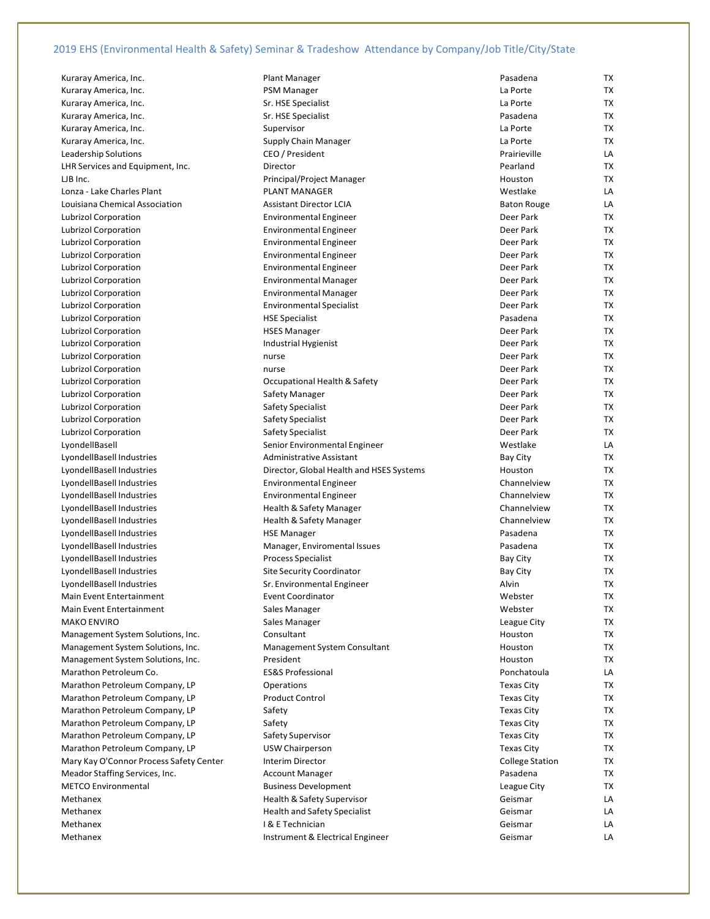Kuraray America, Inc. **Plant Manager** Plant Manager Kuraray America, Inc. **PSM Manager** PSM Manager Kuraray America, Inc. Superson St. HSE Specialist Kuraray America, Inc. Supervisors of the Specialist Pasadena TX Sr. HSE Specialist Kuraray America, Inc. Supervisor Kuraray America, Inc. Supply Chain Manager Leadership Solutions CEO / President LHR Services and Equipment, Inc. Pearland The Pearland Director LJB Inc. **Principal/Project Manager** Principal/Project Manager Lonza - Lake Charles Plant New York Charles Plant Louisiana Chemical Association Assistant Director LCIA Lubrizol Corporation **Environmental Engineer** Environmental Engineer Lubrizol Corporation **Environmental Engineer** Environmental Engineer Lubrizol Corporation **Environmental Engineer** Lubrizol Corporation **Environmental Engineer** Environmental Engineer Lubrizol Corporation **Environmental Engineer** Environmental Engineer Lubrizol Corporation **Environmental Manager Environmental Manager** Lubrizol Corporation **Environmental Manager Environmental Manager** Lubrizol Corporation **Environmental Specialist** Lubrizol Corporation **Fascialist** Passes HSE Specialist Lubrizol Corporation **HSES Manager** Lubrizol Corporation **Industrial Hygienist** Park TX Industrial Hygienist Lubrizol Corporation **nurse** nurse Lubrizol Corporation **nurse** nurse Lubrizol Corporation **Communist Contract Contract Contract Contract Contract Contract T** Lubrizol Corporation Safety Manager Lubrizol Corporation Safety Specialist Lubrizol Corporation Safety Specialist Lubrizol Corporation Safety Specialist LyondellBasell Senior Environmental Engineer LyondellBasell Industries Administrative Assistant LyondellBasell Industries **National Accord Politics** Director, Global Health and HSES Systems LyondellBasell Industries Environmental Engineer LyondellBasell Industries Environmental Engineer LyondellBasell Industries **Network Channels** Health & Safety Manager LyondellBasell Industries **Network Channels** Health & Safety Manager LyondellBasell Industries **National Accord Pasadena HSE Manager** LyondellBasell Industries Manager, Enviromental Issues LyondellBasell Industries **Process Specialist** Bay CondellBasell Industries LyondellBasell Industries Site Security Coordinator LyondellBasell Industries Sr. Environmental Engineer Main Event Entertainment Event Coordinator Main Event Entertainment Main Sales Manager MAKO ENVIRO Sales Manager League City TX Management System Solutions, Inc. Consultant Management System Solutions, Inc. Management System Consultant Management System Solutions, Inc. The President Marathon Petroleum Co. The Concessional LACAS Professional Ponchatous LACAS Professional Marathon Petroleum Company, LP Contractions Marathon Petroleum Company, LP Product Control Marathon Petroleum Company, LP Safety Marathon Petroleum Company, LP Safety Marathon Petroleum Company, LP Safety Supervisor Marathon Petroleum Company, LP **The Company City Constant** USW Chairperson Mary Kay O'Connor Process Safety Center Interim Director Meador Staffing Services, Inc. Account Manager METCO Environmental and Business Development Methanex **Methanex Health & Safety Supervisor** Methanex **Methanex Health and Safety Specialist** Methanex **I & E Technician** Methanex **Instrument & Electrical Engineer** Communisty Communisty Communisty Communisty Communisty Communisty Communisty Communisty Communisty Communisty Communisty Communisty Communisty Communisty Communisty Communisty Co

| Pasadena               | ТX        |
|------------------------|-----------|
| La Porte               | ТX        |
| La Porte               | ТX        |
| Pasadena               | ТX        |
| La Porte               | ТX        |
| La Porte               | <b>TX</b> |
|                        |           |
| Prairieville           | LA        |
| Pearland               | ТX        |
| Houston                | ТX        |
| Westlake               | LA        |
| <b>Baton Rouge</b>     | LA        |
| Deer Park              | ТX        |
| Deer Park              | ТX        |
|                        |           |
| Deer Park              | ТX        |
| Deer Park              | ТX        |
| Deer Park              | TX        |
| Deer Park              | ТX        |
| Deer Park              | ТX        |
| Deer Park              | TX        |
| Pasadena               | TX        |
|                        |           |
| Deer Park              | ТX        |
| Deer Park              | ТX        |
| Deer Park              | ТX        |
| Deer Park              | ТX        |
| Deer Park              | ТX        |
| Deer Park              | ТX        |
| Deer Park              | ТX        |
|                        |           |
| Deer Park              | ТX        |
| Deer Park              | ТX        |
| Westlake               | LA        |
| <b>Bay City</b>        | ТX        |
| Houston                | ТX        |
| Channelview            | TХ        |
| Channelview            | ТX        |
| Channelview            | ТX        |
| Channelview            | <b>TX</b> |
|                        |           |
| Pasadena               | ТX        |
| Pasadena               | ТX        |
| <b>Bay City</b>        | ТX        |
| <b>Bay City</b>        | TX        |
| Alvin                  | ТX        |
| Webster                | ТX        |
| Webster                | ТX        |
|                        |           |
| League City            | ТX        |
| Houston                | ТX        |
| Houston                | TX        |
| Houston                | TX        |
| Ponchatoula            | LA        |
| <b>Texas City</b>      | ТX        |
| Texas City             | ТX        |
|                        | TX        |
| Texas City             |           |
| <b>Texas City</b>      | TX        |
| Texas City             | ТX        |
| <b>Texas City</b>      | ТX        |
| <b>College Station</b> | ТX        |
| Pasadena               | ТX        |
| League City            | ТX        |
| Geismar                | LA        |
| Geismar                | LA        |
|                        |           |
| Geismar                | LA        |
|                        |           |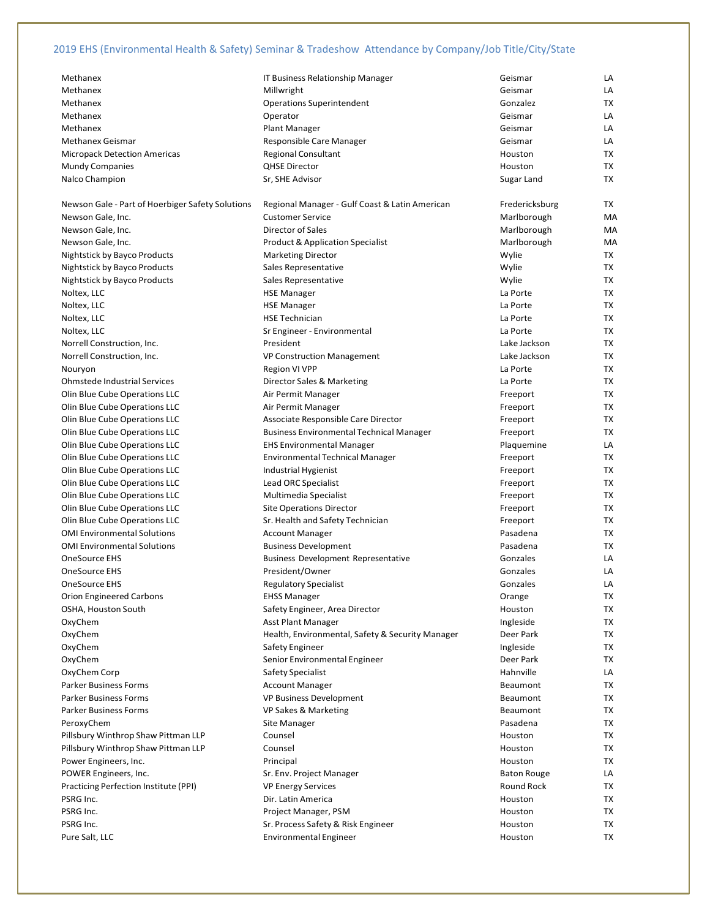| Methanex                                         | IT Business Relationship Manager                 | Geismar            | LA        |
|--------------------------------------------------|--------------------------------------------------|--------------------|-----------|
| Methanex                                         | Millwright                                       | Geismar            | LA        |
| Methanex                                         | <b>Operations Superintendent</b>                 | Gonzalez           | TX        |
| Methanex                                         | Operator                                         | Geismar            | LA        |
| Methanex                                         | <b>Plant Manager</b>                             | Geismar            | LA        |
| Methanex Geismar                                 | Responsible Care Manager                         | Geismar            | LA        |
| <b>Micropack Detection Americas</b>              | <b>Regional Consultant</b>                       | Houston            | ТX        |
| <b>Mundy Companies</b>                           | <b>QHSE Director</b>                             | Houston            | <b>TX</b> |
| Nalco Champion                                   | Sr, SHE Advisor                                  | Sugar Land         | <b>TX</b> |
|                                                  |                                                  |                    |           |
| Newson Gale - Part of Hoerbiger Safety Solutions | Regional Manager - Gulf Coast & Latin American   | Fredericksburg     | TX        |
| Newson Gale, Inc.                                | <b>Customer Service</b>                          | Marlborough        | MA        |
| Newson Gale, Inc.                                | Director of Sales                                | Marlborough        | MA        |
| Newson Gale, Inc.                                | <b>Product &amp; Application Specialist</b>      | Marlborough        | MA        |
| Nightstick by Bayco Products                     | <b>Marketing Director</b>                        | Wylie              | TX        |
| Nightstick by Bayco Products                     | Sales Representative                             | Wylie              | TX        |
| Nightstick by Bayco Products                     | Sales Representative                             | Wylie              | TX        |
| Noltex, LLC                                      | <b>HSE Manager</b>                               | La Porte           | <b>TX</b> |
| Noltex, LLC                                      | <b>HSE Manager</b>                               | La Porte           | TX        |
| Noltex, LLC                                      | <b>HSE Technician</b>                            | La Porte           | <b>TX</b> |
| Noltex, LLC                                      | Sr Engineer - Environmental                      | La Porte           | TX        |
| Norrell Construction, Inc.                       | President                                        | Lake Jackson       | ТX        |
| Norrell Construction, Inc.                       | <b>VP Construction Management</b>                | Lake Jackson       | TX        |
| Nouryon                                          | Region VI VPP                                    | La Porte           | <b>TX</b> |
| <b>Ohmstede Industrial Services</b>              | Director Sales & Marketing                       | La Porte           | <b>TX</b> |
| Olin Blue Cube Operations LLC                    |                                                  |                    | TX        |
|                                                  | Air Permit Manager                               | Freeport           |           |
| Olin Blue Cube Operations LLC                    | Air Permit Manager                               | Freeport           | ТX        |
| Olin Blue Cube Operations LLC                    | Associate Responsible Care Director              | Freeport           | TX        |
| Olin Blue Cube Operations LLC                    | <b>Business Environmental Technical Manager</b>  | Freeport           | <b>TX</b> |
| Olin Blue Cube Operations LLC                    | <b>EHS Environmental Manager</b>                 | Plaquemine         | LA        |
| Olin Blue Cube Operations LLC                    | <b>Environmental Technical Manager</b>           | Freeport           | ТX        |
| Olin Blue Cube Operations LLC                    | Industrial Hygienist                             | Freeport           | TX        |
| Olin Blue Cube Operations LLC                    | Lead ORC Specialist                              | Freeport           | ТX        |
| Olin Blue Cube Operations LLC                    | Multimedia Specialist                            | Freeport           | TX        |
| Olin Blue Cube Operations LLC                    | <b>Site Operations Director</b>                  | Freeport           | <b>TX</b> |
| Olin Blue Cube Operations LLC                    | Sr. Health and Safety Technician                 | Freeport           | TX        |
| <b>OMI Environmental Solutions</b>               | <b>Account Manager</b>                           | Pasadena           | TX        |
| <b>OMI Environmental Solutions</b>               | <b>Business Development</b>                      | Pasadena           | ТX        |
| <b>OneSource EHS</b>                             | <b>Business Development Representative</b>       | Gonzales           | LA        |
| OneSource EHS                                    | President/Owner                                  | Gonzales           | LA        |
| OneSource EHS                                    | <b>Regulatory Specialist</b>                     | Gonzales           | LA        |
| <b>Orion Engineered Carbons</b>                  | <b>EHSS Manager</b>                              | Orange             | TX        |
| OSHA, Houston South                              | Safety Engineer, Area Director                   | Houston            | TX        |
| OxyChem                                          | <b>Asst Plant Manager</b>                        | Ingleside          | TX        |
| OxyChem                                          | Health, Environmental, Safety & Security Manager | Deer Park          | TX        |
| OxyChem                                          | Safety Engineer                                  | Ingleside          | TX        |
| OxyChem                                          | Senior Environmental Engineer                    | Deer Park          | TX        |
| OxyChem Corp                                     | Safety Specialist                                | Hahnville          | LA        |
| Parker Business Forms                            | <b>Account Manager</b>                           | Beaumont           | TX        |
| Parker Business Forms                            | <b>VP Business Development</b>                   | Beaumont           | TX        |
| <b>Parker Business Forms</b>                     | <b>VP Sakes &amp; Marketing</b>                  | Beaumont           | TX        |
| PeroxyChem                                       | <b>Site Manager</b>                              | Pasadena           | TX        |
| Pillsbury Winthrop Shaw Pittman LLP              | Counsel                                          | Houston            | TX        |
| Pillsbury Winthrop Shaw Pittman LLP              | Counsel                                          | Houston            | TX        |
| Power Engineers, Inc.                            | Principal                                        | Houston            | TX        |
| POWER Engineers, Inc.                            | Sr. Env. Project Manager                         | <b>Baton Rouge</b> | LA        |
| Practicing Perfection Institute (PPI)            | <b>VP Energy Services</b>                        | Round Rock         | TX        |
| PSRG Inc.                                        | Dir. Latin America                               | Houston            | TX        |
| PSRG Inc.                                        | Project Manager, PSM                             | Houston            | TX        |
| PSRG Inc.                                        | Sr. Process Safety & Risk Engineer               | Houston            | TX        |
| Pure Salt, LLC                                   | <b>Environmental Engineer</b>                    | Houston            | TX        |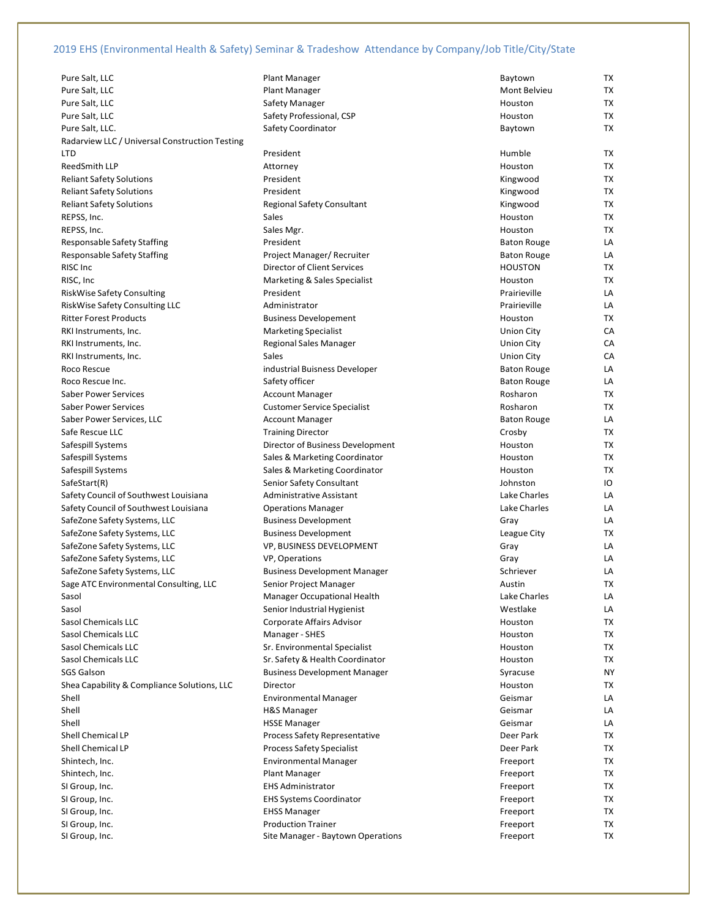Pure Salt, LLC **Baytown Communist Communist Plant Manager** Baytown TX Baytown TX Baytown TX Baytown TX Baytown TX Baytown TX Baytown TX Baytown TX Baytown TX Baytown TX Baytown TX Baytown TX Baytown TX Baytown TX Baytown T Pure Salt, LLC **Plant Manager** Mont Belvieu TX and The Plant Manager Mont Belvieu TX Pure Salt, LLC Safety Manager Pure Salt, LLC **No. 2018** Safety Professional, CSP Pure Salt, LLC. Safety Coordinator Baytown TX Safety Coordinator Radarview LLC / Universal Construction Testing LTD President Humble TX ReedSmith LLP Attorney Houston TX Reliant Safety Solutions **President** Reliant Safety Solutions **President** Reliant Safety Solutions Reliant Safety Solutions Regional Safety Consultant REPSS, Inc. Sales Houston TX REPSS, Inc. **Sales Martias Community Community Community** Sales Mgr. Sales Mgr. Sales Martias Community Community Houston TX Responsable Safety Staffing **President** Baton Responsable Safety Staffing Responsable Safety Staffing **Project Manager/ Recruiter** Baton Rouge LACA RISC Inc **Director of Client Services** RISC, Inc **Marketing & Sales Specialist** Marketing & Sales Specialist RiskWise Safety Consulting **President** President RiskWise Safety Consulting LLC Administrator Ritter Forest Products and American Business Developement RKI Instruments, Inc. Marketing Specialist RKI Instruments, Inc. The Communication of Regional Sales Manager RKI Instruments, Inc. Sales Union City CA Roco Rescue industrial Buisness Developer Roco Rescue Inc. Safety officer Baton Rouge LA Saber Power Services Account Manager Rose Account Manager Saber Power Services Customer Service Specialist Saber Power Services, LLC Account Manager Account Manager Safe Rescue LLC Training Director Safespill Systems **Director of Business Development** Safespill Systems Sales & Marketing Coordinator Safespill Systems Sales & Marketing Coordinator SafeStart(R) SafeStart(R) Senior Safety Consultant Safety Council of Southwest Louisiana Administrative Assistant Safety Council of Southwest Louisiana **Charles Contains Contains Manager** Charles Lake Charles Manager SafeZone Safety Systems, LLC Business Development SafeZone Safety Systems, LLC Business Development SafeZone Safety Systems, LLC VP, BUSINESS DEVELOPMENT SafeZone Safety Systems, LLC VP, Operations SafeZone Safety Systems, LLC Business Development Manager Sage ATC Environmental Consulting, LLC Senior Project Manager Sasol **Sasol** Manager Occupational Health Sasol Sasol Sasol Senior Industrial Hygienist Sasol Chemicals LLC Corporate Affairs Advisor Sasol Chemicals LLC Manager - SHES Sasol Chemicals LLC Sasol Chemicals LLC Sasol Chemicals LLC Sasol Chemicals LLC Sr. Safety & Health Coordinator SGS Galson Business Development Manager Shea Capability & Compliance Solutions, LLC Director Shell **Environmental Manager** Environmental Manager Shell **Shell Geismar Communist Communist Communist Communist Communist Communist Communist Communist Communist Communist Communist Communist Communist Communist Communist Communist Communist Communist Communist Communist C** Shell **Shell HSSE Manager** Geismar Geismar LA Shell Chemical LP **Process Safety Representative** Shell Chemical LP **Process Safety Specialist** Process Safety Specialist Shintech, Inc. **Environmental Manager** Free Environmental Manager Shintech, Inc. **Plant Manager Freeport** Freeport TX SI Group, Inc. The Community Contract TX EHS Administrator SI Group, Inc. The Coordinator EHS Systems Coordinator SI Group, Inc. EHSS Manager Freeport TX SI Group, Inc. **Production Trainer** Free Production Trainer SI Group, Inc. Site Manager - Baytown Operations

| <b>Day LUWII</b>     |                 |
|----------------------|-----------------|
| Mont Belvieu         | <b>TX</b>       |
| louston              | ТX              |
| louston              | ТX              |
| Baytown              | ТX              |
|                      |                 |
| tumble               | <b>TX</b>       |
| louston              | TX              |
| <b>ingwood</b>       | ТX              |
| ingwood)             | TX              |
| ingwood)             | ТX              |
| <b>Houston</b>       | ТX              |
| louston              | ТX              |
| <b>Baton Rouge</b>   | LA              |
| 3aton Rouge          | LA              |
| HOUSTON              | ТX              |
| louston              | ТX              |
| Prairieville         | LA              |
|                      |                 |
| Prairieville         | LA<br><b>TX</b> |
| Houston              |                 |
| Jnion City           | CA              |
| Jnion City           | CA              |
| Jnion City           | CА              |
| <b>Baton Rouge</b>   | LA              |
| <b>Baton Rouge</b>   | LA              |
| dosharon             | ТX              |
| dosharon             | ТX              |
| <b>Baton Rouge</b>   | LA              |
| Crosby               | ТX              |
| louston              | ТX              |
| louston              | ТX              |
| louston              | TX              |
| ohnston              | IO              |
| ake Charles.         | LA              |
| ake Charles.         | LA              |
| Gray                 | LA              |
| eague City.          | ТX              |
| Gray                 | LA              |
| Gray                 | LA              |
| ichriever            | LA              |
| <b>Austin</b>        | ТX              |
| ake Charles          | LA              |
| Nestlake             | LA              |
| Houston              | ТX              |
| Houston              | ТX              |
| Houston              | ТX              |
| louston              | ТX              |
| Syracuse             | N١              |
| louston              | ТX              |
| Geismar              | LA              |
| Geismar              | LA              |
| Geismar              | LA              |
| Deer Park            | ТX              |
| <b>Deer Park</b>     | ТX              |
| <sup>:</sup> reeport | ТX              |
| <sup>:</sup> reeport | ТX              |
| reeport <sup>-</sup> | ТX              |
| reeport <sup>-</sup> | ТX              |
| reeport <sup>-</sup> | TX              |
| reeport <sup>-</sup> | ТX              |
| <sup>:</sup> reeport | ТX              |
|                      |                 |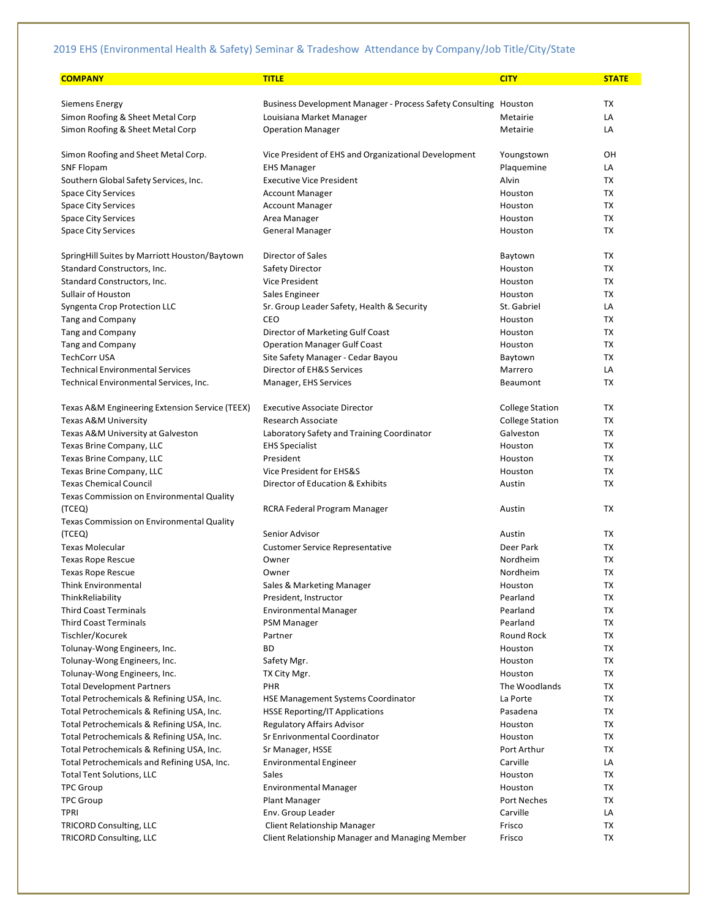| <b>COMPANY</b>                                 | <b>TITLE</b>                                                     | <b>CITY</b>            | <b>STATE</b> |
|------------------------------------------------|------------------------------------------------------------------|------------------------|--------------|
| Siemens Energy                                 | Business Development Manager - Process Safety Consulting Houston |                        | <b>TX</b>    |
|                                                | Louisiana Market Manager                                         | Metairie               | LA           |
| Simon Roofing & Sheet Metal Corp               |                                                                  |                        | LA           |
| Simon Roofing & Sheet Metal Corp               | <b>Operation Manager</b>                                         | Metairie               |              |
| Simon Roofing and Sheet Metal Corp.            | Vice President of EHS and Organizational Development             | Youngstown             | OН           |
| <b>SNF Flopam</b>                              | <b>EHS Manager</b>                                               | Plaquemine             | LA           |
| Southern Global Safety Services, Inc.          | <b>Executive Vice President</b>                                  | Alvin                  | <b>TX</b>    |
| <b>Space City Services</b>                     | <b>Account Manager</b>                                           | Houston                | TX           |
| <b>Space City Services</b>                     | <b>Account Manager</b>                                           | Houston                | TX           |
| <b>Space City Services</b>                     | Area Manager                                                     | Houston                | <b>TX</b>    |
| <b>Space City Services</b>                     | <b>General Manager</b>                                           | Houston                | <b>TX</b>    |
| SpringHill Suites by Marriott Houston/Baytown  | Director of Sales                                                | Baytown                | TX           |
| Standard Constructors, Inc.                    | <b>Safety Director</b>                                           | Houston                | TX           |
| Standard Constructors, Inc.                    | <b>Vice President</b>                                            | Houston                | TX           |
| Sullair of Houston                             |                                                                  | Houston                | TX           |
|                                                | Sales Engineer                                                   |                        |              |
| Syngenta Crop Protection LLC                   | Sr. Group Leader Safety, Health & Security                       | St. Gabriel            | LA           |
| <b>Tang and Company</b>                        | CEO                                                              | Houston                | <b>TX</b>    |
| Tang and Company                               | Director of Marketing Gulf Coast                                 | Houston                | <b>TX</b>    |
| <b>Tang and Company</b>                        | <b>Operation Manager Gulf Coast</b>                              | Houston                | TX           |
| <b>TechCorr USA</b>                            | Site Safety Manager - Cedar Bayou                                | Baytown                | <b>TX</b>    |
| <b>Technical Environmental Services</b>        | Director of EH&S Services                                        | Marrero                | LA           |
| Technical Environmental Services, Inc.         | Manager, EHS Services                                            | Beaumont               | <b>TX</b>    |
| Texas A&M Engineering Extension Service (TEEX) | <b>Executive Associate Director</b>                              | <b>College Station</b> | TX           |
| Texas A&M University                           | Research Associate                                               | <b>College Station</b> | TX           |
| Texas A&M University at Galveston              | Laboratory Safety and Training Coordinator                       | Galveston              | TX           |
| Texas Brine Company, LLC                       | <b>EHS Specialist</b>                                            | Houston                | TX           |
| Texas Brine Company, LLC                       | President                                                        | Houston                | <b>TX</b>    |
| Texas Brine Company, LLC                       | Vice President for EHS&S                                         | Houston                | TX           |
| <b>Texas Chemical Council</b>                  | Director of Education & Exhibits                                 | Austin                 | TX           |
| Texas Commission on Environmental Quality      |                                                                  |                        |              |
| (TCEQ)                                         | RCRA Federal Program Manager                                     | Austin                 | <b>TX</b>    |
| Texas Commission on Environmental Quality      |                                                                  |                        |              |
| (TCEQ)                                         | Senior Advisor                                                   | Austin                 | TX           |
| <b>Texas Molecular</b>                         | <b>Customer Service Representative</b>                           | Deer Park              | <b>TX</b>    |
| Texas Rope Rescue                              | Owner                                                            | Nordheim               | <b>TX</b>    |
| <b>Texas Rope Rescue</b>                       | Owner                                                            | Nordheim               | TX           |
| <b>Think Environmental</b>                     | Sales & Marketing Manager                                        | Houston                | <b>TX</b>    |
| ThinkReliability                               | President, Instructor                                            | Pearland               | TX           |
| <b>Third Coast Terminals</b>                   | <b>Environmental Manager</b>                                     | Pearland               | TX           |
| <b>Third Coast Terminals</b>                   | <b>PSM Manager</b>                                               | Pearland               | TX           |
| Tischler/Kocurek                               | Partner                                                          | Round Rock             | TX           |
| Tolunay-Wong Engineers, Inc.                   | ВD                                                               | Houston                | TX           |
| Tolunay-Wong Engineers, Inc.                   | Safety Mgr.                                                      | Houston                | TX           |
| Tolunay-Wong Engineers, Inc.                   | TX City Mgr.                                                     | Houston                | TX           |
| <b>Total Development Partners</b>              | PHR                                                              | The Woodlands          | TX           |
| Total Petrochemicals & Refining USA, Inc.      | <b>HSE Management Systems Coordinator</b>                        | La Porte               | TX           |
| Total Petrochemicals & Refining USA, Inc.      |                                                                  | Pasadena               |              |
|                                                | <b>HSSE Reporting/IT Applications</b>                            | Houston                | TX           |
| Total Petrochemicals & Refining USA, Inc.      | <b>Regulatory Affairs Advisor</b>                                |                        | TX           |
| Total Petrochemicals & Refining USA, Inc.      | Sr Enrivonmental Coordinator                                     | Houston                | TX           |
| Total Petrochemicals & Refining USA, Inc.      | Sr Manager, HSSE                                                 | Port Arthur            | TX           |
| Total Petrochemicals and Refining USA, Inc.    | <b>Environmental Engineer</b>                                    | Carville               | LA           |
| <b>Total Tent Solutions, LLC</b>               | Sales                                                            | Houston                | TX           |
| <b>TPC Group</b>                               | <b>Environmental Manager</b>                                     | Houston                | TX           |
| <b>TPC Group</b>                               | Plant Manager                                                    | <b>Port Neches</b>     | TX           |
| <b>TPRI</b>                                    | Env. Group Leader                                                | Carville               | LA           |
| <b>TRICORD Consulting, LLC</b>                 | <b>Client Relationship Manager</b>                               | Frisco                 | TX           |
| <b>TRICORD Consulting, LLC</b>                 | Client Relationship Manager and Managing Member                  | Frisco                 | TX           |